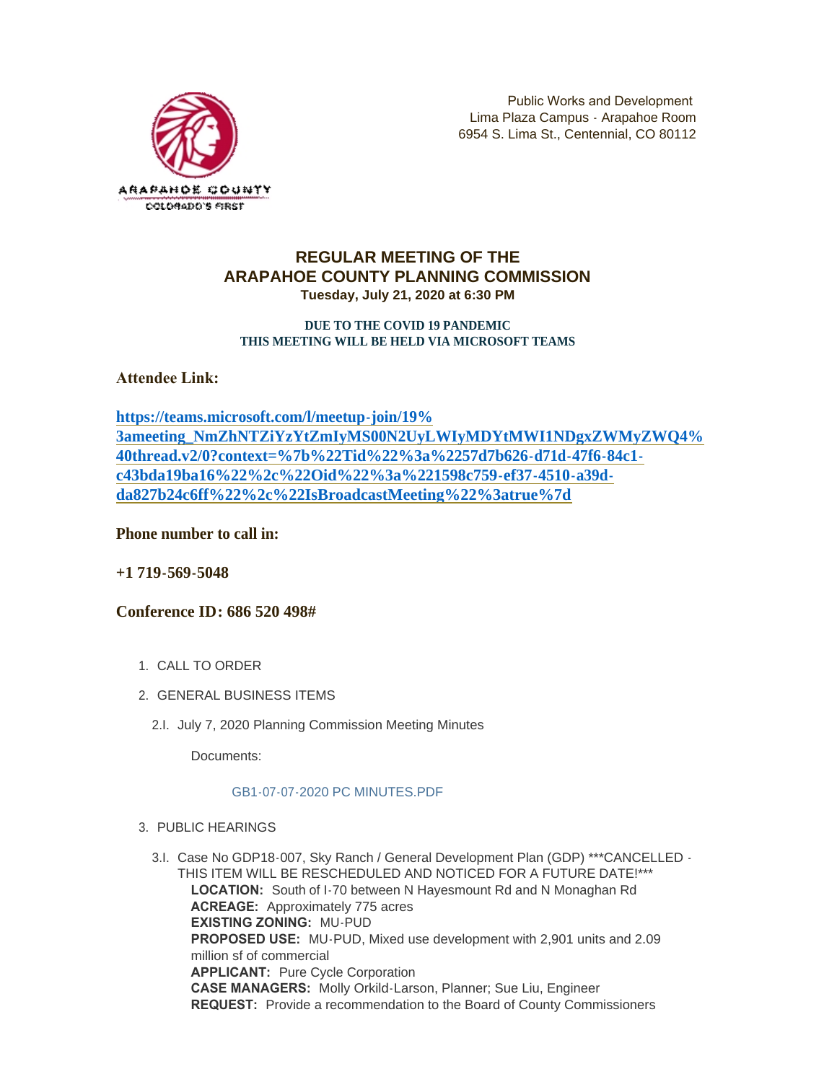

Public Works and Development Lima Plaza Campus - Arapahoe Room 6954 S. Lima St., Centennial, CO 80112

## **REGULAR MEETING OF THE ARAPAHOE COUNTY PLANNING COMMISSION Tuesday, July 21, 2020 at 6:30 PM**

### **DUE TO THE COVID 19 PANDEMIC THIS MEETING WILL BE HELD VIA MICROSOFT TEAMS**

**Attendee Link:** 

**https://teams.microsoft.com/l/meetup-join/19% [3ameeting\\_NmZhNTZiYzYtZmIyMS00N2UyLWIyMDYtMWI1NDgxZWMyZWQ4%](https://teams.microsoft.com/l/meetup-join/19%3ameeting_NmZhNTZiYzYtZmIyMS00N2UyLWIyMDYtMWI1NDgxZWMyZWQ4%40thread.v2/0?context=%7b%22Tid%22%3a%2257d7b626-d71d-47f6-84c1-c43bda19ba16%22%2c%22Oid%22%3a%221598c759-ef37-4510-a39d-da827b24c6ff%22%2c%22IsBroadcastMeeting%22%3atrue%7d) 40thread.v2/0?context=%7b%22Tid%22%3a%2257d7b626-d71d-47f6-84c1 c43bda19ba16%22%2c%22Oid%22%3a%221598c759-ef37-4510-a39dda827b24c6ff%22%2c%22IsBroadcastMeeting%22%3atrue%7d**

**Phone number to call in:**

**+1 719-569-5048**

# **Conference ID: 686 520 498#**

- 1. CALL TO ORDER
- GENERAL BUSINESS ITEMS 2.
	- 2.I. July 7, 2020 Planning Commission Meeting Minutes

Documents:

## [GB1-07-07-2020 PC MINUTES.PDF](https://www.arapahoegov.com/AgendaCenter/ViewFile/Item/12943?fileID=22249)

- PUBLIC HEARINGS 3.
	- 3.I. Case No GDP18-007, Sky Ranch / General Development Plan (GDP) \*\*\*CANCELLED -THIS ITEM WILL BE RESCHEDULED AND NOTICED FOR A FUTURE DATE!\*\*\* **LOCATION:** South of I-70 between N Hayesmount Rd and N Monaghan Rd **ACREAGE:** Approximately 775 acres **EXISTING ZONING:** MU-PUD **PROPOSED USE:** MU-PUD, Mixed use development with 2,901 units and 2.09 million sf of commercial **APPLICANT:** Pure Cycle Corporation **CASE MANAGERS:** Molly Orkild-Larson, Planner; Sue Liu, Engineer **REQUEST:** Provide a recommendation to the Board of County Commissioners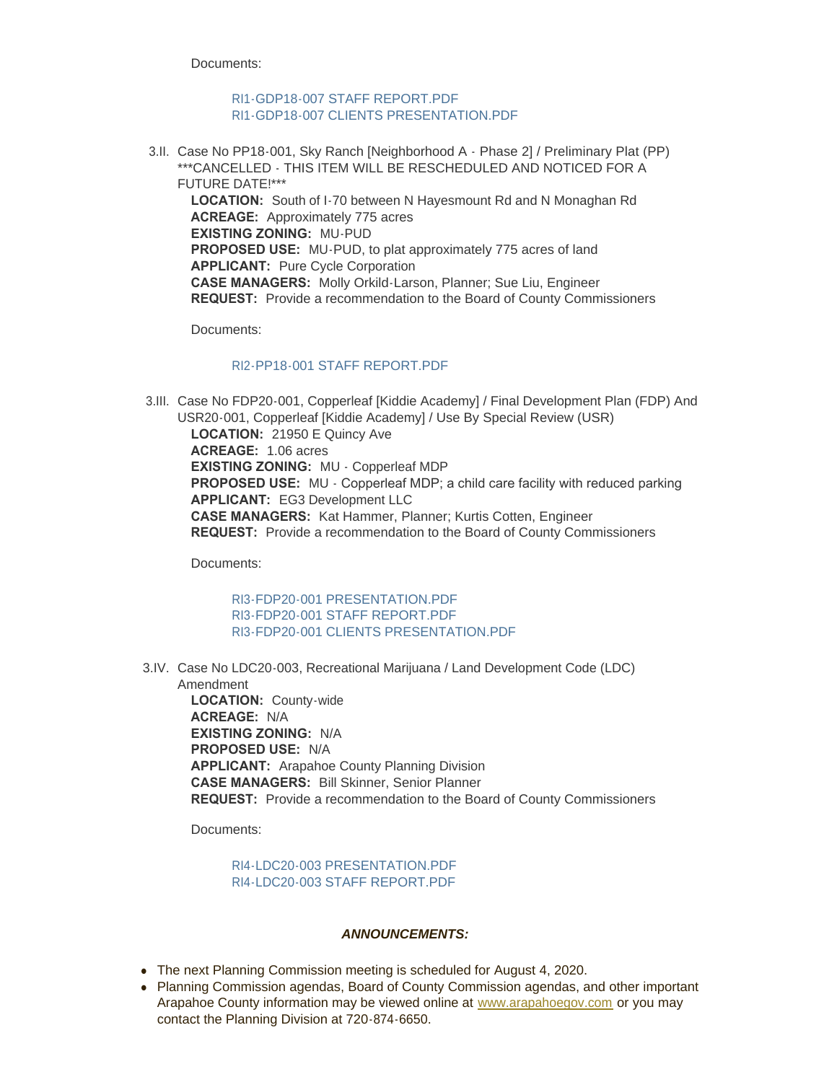Documents:

## RI1-GDP18-007 STAFF REPORT PDF [RI1-GDP18-007 CLIENTS PRESENTATION.PDF](https://www.arapahoegov.com/AgendaCenter/ViewFile/Item/12944?fileID=22705)

3.II. Case No PP18-001, Sky Ranch [Neighborhood A - Phase 2] / Preliminary Plat (PP) \*\*\*CANCELLED - THIS ITEM WILL BE RESCHEDULED AND NOTICED FOR A FUTURE DATE!\*\*\*

**LOCATION:** South of I-70 between N Hayesmount Rd and N Monaghan Rd **ACREAGE:** Approximately 775 acres **EXISTING ZONING:** MU-PUD **PROPOSED USE:** MU-PUD, to plat approximately 775 acres of land **APPLICANT:** Pure Cycle Corporation **CASE MANAGERS:** Molly Orkild-Larson, Planner; Sue Liu, Engineer **REQUEST:** Provide a recommendation to the Board of County Commissioners

Documents:

## RI2-PP18-001 STAFF REPORT PDF

3.III. Case No FDP20-001, Copperleaf [Kiddie Academy] / Final Development Plan (FDP) And USR20-001, Copperleaf [Kiddie Academy] / Use By Special Review (USR) **LOCATION:** 21950 E Quincy Ave **ACREAGE:** 1.06 acres **EXISTING ZONING:** MU - Copperleaf MDP **PROPOSED USE:** MU - Copperleaf MDP; a child care facility with reduced parking **APPLICANT:** EG3 Development LLC **CASE MANAGERS:** Kat Hammer, Planner; Kurtis Cotten, Engineer **REQUEST:** Provide a recommendation to the Board of County Commissioners

Documents:

[RI3-FDP20-001 PRESENTATION.PDF](https://www.arapahoegov.com/AgendaCenter/ViewFile/Item/12946?fileID=22258) [RI3-FDP20-001 STAFF REPORT.PDF](https://www.arapahoegov.com/AgendaCenter/ViewFile/Item/12946?fileID=22259) [RI3-FDP20-001 CLIENTS PRESENTATION.PDF](https://www.arapahoegov.com/AgendaCenter/ViewFile/Item/12946?fileID=22704)

3.IV. Case No LDC20-003, Recreational Marijuana / Land Development Code (LDC) Amendment

**LOCATION:** County-wide **ACREAGE:** N/A **EXISTING ZONING:** N/A **PROPOSED USE:** N/A **APPLICANT:** Arapahoe County Planning Division **CASE MANAGERS:** Bill Skinner, Senior Planner **REQUEST:** Provide a recommendation to the Board of County Commissioners

Documents:

#### [RI4-LDC20-003 PRESENTATION.PDF](https://www.arapahoegov.com/AgendaCenter/ViewFile/Item/12948?fileID=22254) [RI4-LDC20-003 STAFF REPORT.PDF](https://www.arapahoegov.com/AgendaCenter/ViewFile/Item/12948?fileID=22255)

#### *ANNOUNCEMENTS:*

- The next Planning Commission meeting is scheduled for August 4, 2020.
- Planning Commission agendas, Board of County Commission agendas, and other important Arapahoe County information may be viewed online at [www.arapahoegov.com](http://www.arapahoegov.com/) or you may contact the Planning Division at 720-874-6650.